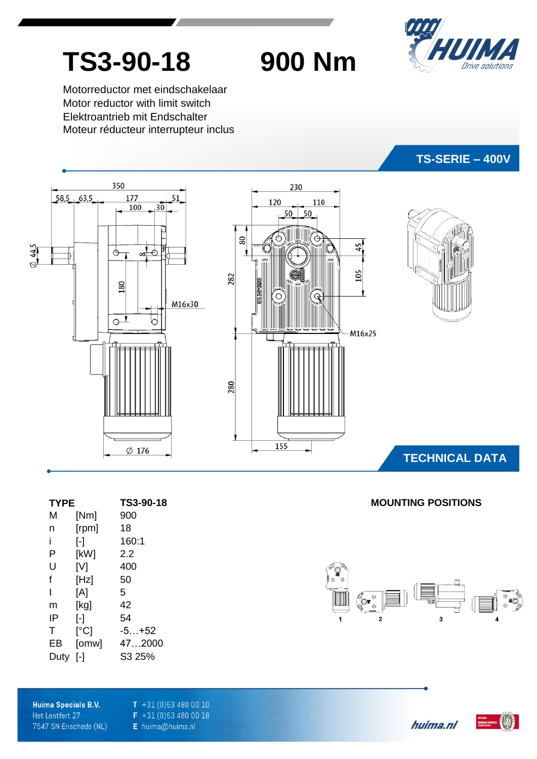

# **TS3-90-18 900 Nm**

Motorreductor met eindschakelaar Motor reductor with limit switch Elektroantrieb mit Endschalter Moteur réducteur interrupteur inclus



| <b>TYPE</b> |                         | TS3-90-18 |
|-------------|-------------------------|-----------|
| М           | [Nm]                    | 900       |
| n           | [rpm]                   | 18        |
| Ĺ           | $\lbrack \cdot \rbrack$ | 160:1     |
| Р           | [kW]                    | 2.2       |
| U           | [V]                     | 400       |
| f           | [Hz]                    | 50        |
| ı           | [A]                     | 5         |
| m           | [kg]                    | 42        |
| IP          | ŀ1                      | 54        |
| т           | [°C]                    | $-5+52$   |
| EВ          | [omw]                   | 472000    |
| Duty        | [-]                     | S3 25%    |

 $\overline{2}$ 

ွိ**့**<br>ႏ

 $\overline{\mathbf{z}}$ 

**MOUNTING POSITIONS** 

Huima Specials B.V. Het Lentfert 27 7547 SN Enschede (NL)  $T + 31(0)534800010$  $F$  +31 (0)53 480 00 18 E huima@huima.nl